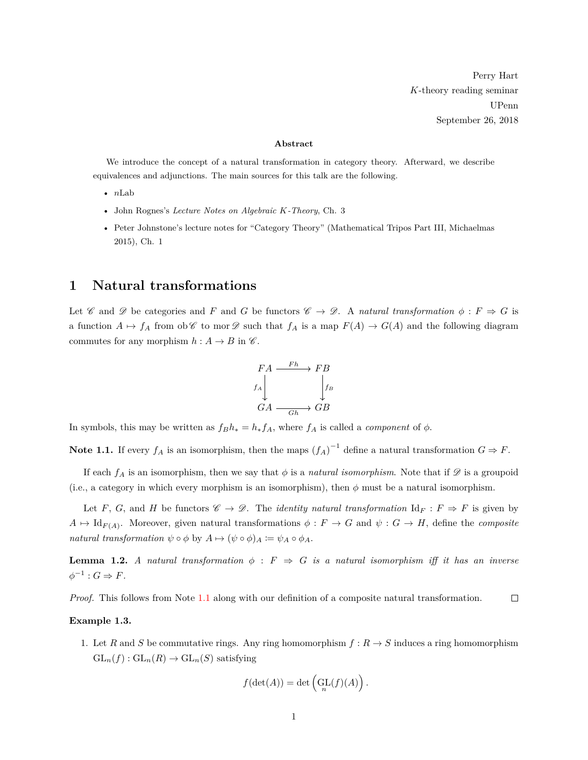Perry Hart *K*-theory reading seminar UPenn September 26, 2018

#### **Abstract**

We introduce the concept of a natural transformation in category theory. Afterward, we describe equivalences and adjunctions. The main sources for this talk are the following.

- *n*Lab
- John Rognes's *Lecture Notes on Algebraic K-Theory*, Ch. 3
- Peter Johnstone's lecture notes for "Category Theory" (Mathematical Tripos Part III, Michaelmas 2015), Ch. 1

## **1 Natural transformations**

Let C and D be categories and F and G be functors  $\mathcal{C} \to \mathcal{D}$ . A *natural transformation*  $\phi : F \Rightarrow G$  is a function  $A \mapsto f_A$  from ob  $\mathscr C$  to mor  $\mathscr D$  such that  $f_A$  is a map  $F(A) \to G(A)$  and the following diagram commutes for any morphism  $h : A \to B$  in  $\mathscr{C}$ .

$$
\begin{array}{ccc}\nFA & \xrightarrow{Fh} & FB \\
f_A \downarrow & & \downarrow f_B \\
GA & \xrightarrow{Gh} & GB\n\end{array}
$$

<span id="page-0-0"></span>In symbols, this may be written as  $f_B h_* = h_* f_A$ , where  $f_A$  is called a *component* of  $\phi$ .

Note 1.1. If every  $f_A$  is an isomorphism, then the maps  $(f_A)^{-1}$  define a natural transformation  $G \Rightarrow F$ .

If each  $f_A$  is an isomorphism, then we say that  $\phi$  is a *natural isomorphism*. Note that if  $\mathscr D$  is a groupoid (i.e., a category in which every morphism is an isomorphism), then  $\phi$  must be a natural isomorphism.

Let *F*, *G*, and *H* be functors  $\mathscr{C} \to \mathscr{D}$ . The *identity natural transformation*  $\mathrm{Id}_F : F \Rightarrow F$  is given by  $A \mapsto \mathrm{Id}_{F(A)}$ . Moreover, given natural transformations  $\phi : F \to G$  and  $\psi : G \to H$ , define the *composite natural transformation*  $\psi \circ \phi$  by  $A \mapsto (\psi \circ \phi)_A := \psi_A \circ \phi_A$ .

**Lemma 1.2.** *A natural transformation*  $\phi$  :  $F \Rightarrow G$  *is a natural isomorphism iff it has an inverse*  $\phi^{-1}: G \Rightarrow F.$ 

*Proof.* This follows from Note [1.1](#page-0-0) along with our definition of a composite natural transformation.  $\Box$ 

### **Example 1.3.**

1. Let *R* and *S* be commutative rings. Any ring homomorphism  $f: R \to S$  induces a ring homomorphism  $GL_n(f): GL_n(R) \to GL_n(S)$  satisfying

$$
f(\det(A)) = \det\left(\mathop{\text{GL}}_n(f)(A)\right).
$$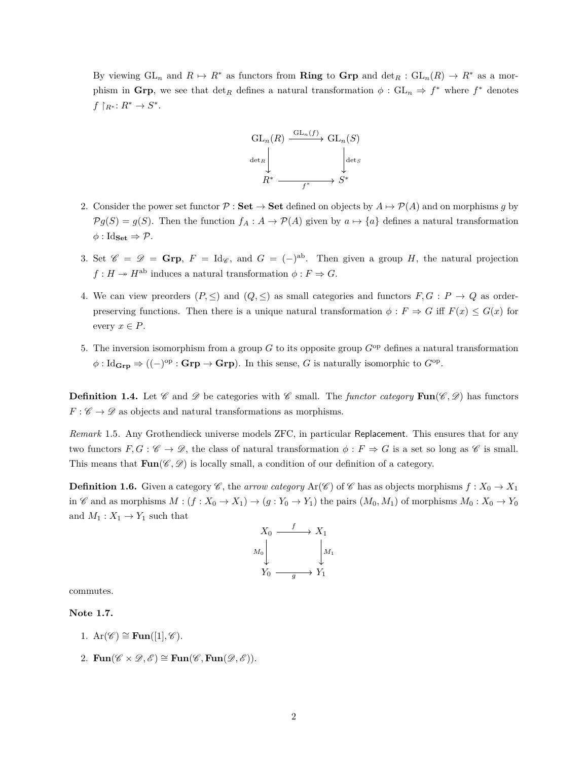By viewing  $GL_n$  and  $R \mapsto R^*$  as functors from **Ring** to **Grp** and  $\det_R : GL_n(R) \to R^*$  as a morphism in **Grp**, we see that  $\det_R$  defines a natural transformation  $\phi$  :  $GL_n \Rightarrow f^*$  where  $f^*$  denotes  $f\restriction_{R^*}: R^* \to S^*.$ 



- 2. Consider the power set functor  $\mathcal{P}:$  **Set**  $\rightarrow$  **Set** defined on objects by  $A \mapsto \mathcal{P}(A)$  and on morphisms *g* by  $\mathcal{P}g(S) = g(S)$ . Then the function  $f_A : A \to \mathcal{P}(A)$  given by  $a \mapsto \{a\}$  defines a natural transformation  $\phi$  : Id<sub>Set</sub>  $\Rightarrow \mathcal{P}$ .
- 3. Set  $\mathscr{C} = \mathscr{D} = \mathbf{Grp}, F = \text{Id}_{\mathscr{C}}$ , and  $G = (-)^{ab}$ . Then given a group *H*, the natural projection  $f: H \to H^{ab}$  induces a natural transformation  $\phi: F \Rightarrow G$ .
- 4. We can view preorders  $(P, \leq)$  and  $(Q, \leq)$  as small categories and functors  $F, G : P \to Q$  as orderpreserving functions. Then there is a unique natural transformation  $\phi : F \Rightarrow G$  iff  $F(x) \le G(x)$  for every  $x \in P$ .
- 5. The inversion isomorphism from a group *G* to its opposite group *G*op defines a natural transformation  $\phi: \text{Id}_{\text{Grp}} \to ((-)^{\text{op}} : \text{Grp} \to \text{Grp}).$  In this sense, *G* is naturally isomorphic to  $G^{\text{op}}$ .

**Definition 1.4.** Let  $\mathscr C$  and  $\mathscr D$  be categories with  $\mathscr C$  small. The *functor category* **Fun** $(\mathscr C, \mathscr D)$  has functors  $F: \mathscr{C} \to \mathscr{D}$  as objects and natural transformations as morphisms.

*Remark* 1.5*.* Any Grothendieck universe models ZFC, in particular Replacement. This ensures that for any two functors  $F, G : \mathscr{C} \to \mathscr{D}$ , the class of natural transformation  $\phi : F \Rightarrow G$  is a set so long as  $\mathscr{C}$  is small. This means that  $\text{Fun}(\mathscr{C},\mathscr{D})$  is locally small, a condition of our definition of a category.

**Definition 1.6.** Given a category  $\mathscr{C}$ , the *arrow category* Ar( $\mathscr{C}$ ) of  $\mathscr{C}$  has as objects morphisms  $f: X_0 \to X_1$ in  $\mathscr C$  and as morphisms  $M : (f : X_0 \to X_1) \to (g : Y_0 \to Y_1)$  the pairs  $(M_0, M_1)$  of morphisms  $M_0 : X_0 \to Y_0$ and  $M_1: X_1 \to Y_1$  such that



commutes.

**Note 1.7.**

- 1.  $\text{Ar}(\mathscr{C}) \cong \text{Fun}([1], \mathscr{C}).$
- 2. **Fun**( $\mathscr{C} \times \mathscr{D}, \mathscr{E}$ ) ≅ **Fun**( $\mathscr{C},$  **Fun**( $\mathscr{D}, \mathscr{E}$ )).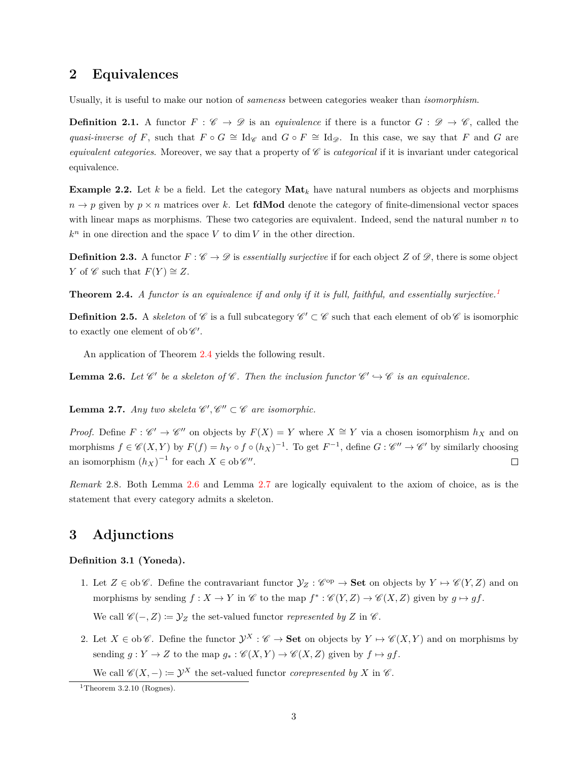## **2 Equivalences**

Usually, it is useful to make our notion of *sameness* between categories weaker than *isomorphism*.

**Definition 2.1.** A functor  $F : \mathscr{C} \to \mathscr{D}$  is an *equivalence* if there is a functor  $G : \mathscr{D} \to \mathscr{C}$ , called the *quasi-inverse of F*, such that  $F \circ G \cong \text{Id}_{\mathscr{C}}$  and  $G \circ F \cong \text{Id}_{\mathscr{D}}$ . In this case, we say that *F* and *G* are *equivalent categories*. Moreover, we say that a property of  $\mathscr C$  is *categorical* if it is invariant under categorical equivalence.

**Example 2.2.** Let *k* be a field. Let the category  $\textbf{Mat}_k$  have natural numbers as objects and morphisms  $n \to p$  given by  $p \times n$  matrices over *k*. Let **fdMod** denote the category of finite-dimensional vector spaces with linear maps as morphisms. These two categories are equivalent. Indeed, send the natural number *n* to  $k^n$  in one direction and the space *V* to dim *V* in the other direction.

**Definition 2.3.** A functor  $F : \mathscr{C} \to \mathscr{D}$  is *essentially surjective* if for each object *Z* of  $\mathscr{D}$ , there is some object *Y* of  $\mathscr C$  such that  $F(Y) \cong Z$ .

<span id="page-2-1"></span>**Theorem 2.4.** *A functor is an equivalence if and only if it is full, faithful, and essentially surjective.[1](#page-2-0)*

**Definition 2.5.** A *skeleton* of  $\mathscr{C}$  is a full subcategory  $\mathscr{C}' \subset \mathscr{C}$  such that each element of ob  $\mathscr{C}$  is isomorphic to exactly one element of ob  $\mathscr{C}'.$ 

An application of Theorem [2.4](#page-2-1) yields the following result.

<span id="page-2-2"></span>**Lemma 2.6.** Let  $\mathscr{C}'$  be a skeleton of  $\mathscr{C}$ . Then the inclusion functor  $\mathscr{C}' \hookrightarrow \mathscr{C}$  is an equivalence.

<span id="page-2-3"></span>**Lemma 2.7.** *Any two skeleta*  $\mathscr{C}', \mathscr{C}'' \subset \mathscr{C}$  *are isomorphic.* 

*Proof.* Define  $F: \mathscr{C}' \to \mathscr{C}''$  on objects by  $F(X) = Y$  where  $X \cong Y$  via a chosen isomorphism  $h_X$  and on morphisms  $f \in \mathscr{C}(X, Y)$  by  $F(f) = h_Y \circ f \circ (h_X)^{-1}$ . To get  $F^{-1}$ , define  $G : \mathscr{C}'' \to \mathscr{C}'$  by similarly choosing an isomorphism  $(h_X)^{-1}$  for each  $X \in ob \mathscr{C}''$ .  $\Box$ 

*Remark* 2.8*.* Both Lemma [2.6](#page-2-2) and Lemma [2.7](#page-2-3) are logically equivalent to the axiom of choice, as is the statement that every category admits a skeleton.

# **3 Adjunctions**

### **Definition 3.1 (Yoneda).**

- 1. Let  $Z \in ob \mathscr{C}$ . Define the contravariant functor  $\mathcal{Y}_Z : \mathscr{C}^{op} \to \mathbf{Set}$  on objects by  $Y \mapsto \mathscr{C}(Y, Z)$  and on morphisms by sending  $f: X \to Y$  in  $\mathscr{C}$  to the map  $f^* : \mathscr{C}(Y, Z) \to \mathscr{C}(X, Z)$  given by  $g \mapsto gf$ . We call  $\mathscr{C} (-, Z) \coloneqq \mathcal{Y}_Z$  the set-valued functor *represented by Z* in  $\mathscr{C}$ .
- 2. Let  $X \in ob \mathscr{C}$ . Define the functor  $\mathcal{Y}^X : \mathscr{C} \to \mathbf{Set}$  on objects by  $Y \mapsto \mathscr{C}(X, Y)$  and on morphisms by sending  $g: Y \to Z$  to the map  $g_* : \mathscr{C}(X, Y) \to \mathscr{C}(X, Z)$  given by  $f \mapsto gf$ .

We call  $\mathscr{C}(X, -) := \mathcal{Y}^X$  the set-valued functor *corepresented by* X in  $\mathscr{C}$ .

<span id="page-2-0"></span><sup>&</sup>lt;sup>1</sup>Theorem 3.2.10 (Rognes).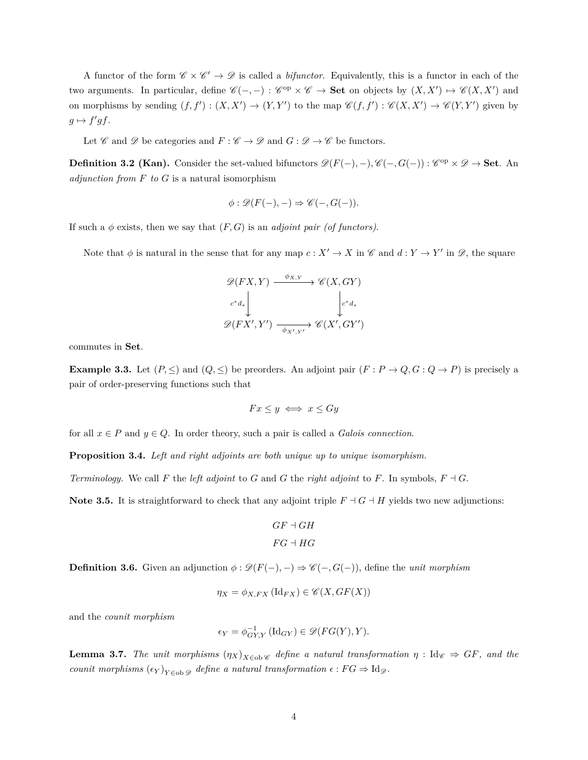A functor of the form  $\mathscr{C} \times \mathscr{C}' \to \mathscr{D}$  is called a *bifunctor*. Equivalently, this is a functor in each of the two arguments. In particular, define  $\mathscr{C}(-,-): \mathscr{C}^{op} \times \mathscr{C} \to \mathbf{Set}$  on objects by  $(X, X') \mapsto \mathscr{C}(X, X')$  and on morphisms by sending  $(f, f') : (X, X') \to (Y, Y')$  to the map  $\mathscr{C}(f, f') : \mathscr{C}(X, X') \to \mathscr{C}(Y, Y')$  given by  $g \mapsto f'g f$ .

Let  $\mathscr C$  and  $\mathscr D$  be categories and  $F : \mathscr C \to \mathscr D$  and  $G : \mathscr D \to \mathscr C$  be functors.

**Definition 3.2 (Kan).** Consider the set-valued bifunctors  $\mathscr{D}(F(-), -), \mathscr{C}(-, G(-)) : \mathscr{C}^{op} \times \mathscr{D} \to \mathbf{Set}$ . An *adjunction from F to G* is a natural isomorphism

$$
\phi : \mathscr{D}(F(-), -) \Rightarrow \mathscr{C}(-, G(-)).
$$

If such a  $\phi$  exists, then we say that  $(F, G)$  is an *adjoint pair (of functors)*.

Note that  $\phi$  is natural in the sense that for any map  $c: X' \to X$  in  $\mathscr{C}$  and  $d: Y \to Y'$  in  $\mathscr{D}$ , the square

$$
\mathscr{D}(FX, Y) \xrightarrow{\phi_{X,Y}} \mathscr{C}(X, GY)
$$
  

$$
c^*d_* \Bigg\downarrow \qquad \qquad \downarrow c^*d_*
$$
  

$$
\mathscr{D}(FX', Y') \xrightarrow{\phi_{X',Y'}} \mathscr{C}(X', GY')
$$

commutes in **Set**.

**Example 3.3.** Let  $(P, \leq)$  and  $(Q, \leq)$  be preorders. An adjoint pair  $(F : P \to Q, G : Q \to P)$  is precisely a pair of order-preserving functions such that

$$
Fx \leq y \iff x \leq Gy
$$

for all  $x \in P$  and  $y \in Q$ . In order theory, such a pair is called a *Galois connection*.

**Proposition 3.4.** *Left and right adjoints are both unique up to unique isomorphism.*

*Terminology.* We call F the *left adjoint* to G and G the *right adjoint* to F. In symbols,  $F \dashv G$ .

**Note 3.5.** It is straightforward to check that any adjoint triple  $F \dashv G \dashv H$  yields two new adjunctions:

$$
GF\dashv GH
$$
  

$$
FG\dashv HG
$$

**Definition 3.6.** Given an adjunction  $\phi : \mathscr{D}(F(-), -) \Rightarrow \mathscr{C}(-, G(-))$ , define the *unit morphism* 

$$
\eta_X = \phi_{X,FX} (\mathrm{Id}_{FX}) \in \mathscr{C}(X, GF(X))
$$

and the *counit morphism*

$$
\epsilon_Y = \phi_{GY,Y}^{-1} (\mathrm{Id}_{GY}) \in \mathscr{D}(FG(Y), Y).
$$

**Lemma 3.7.** *The unit morphisms*  $(\eta_X)_{X \in \text{ob } \mathscr{C}}$  *define a natural transformation*  $\eta$  : Id $_{\mathscr{C}} \Rightarrow GF$ *, and the counit morphisms*  $(\epsilon_Y)_{Y \in \text{ob } \mathscr{D}}$  *define a natural transformation*  $\epsilon : FG \Rightarrow \text{Id}_{\mathscr{D}}$ *.*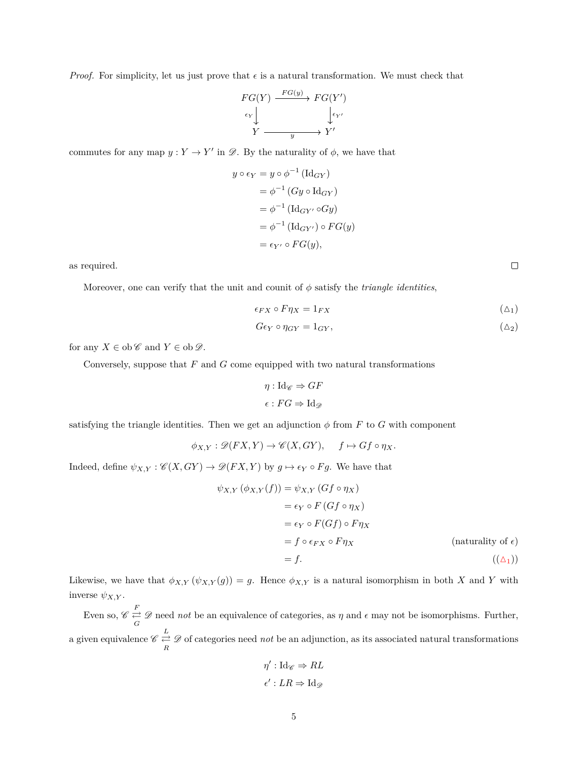*Proof.* For simplicity, let us just prove that  $\epsilon$  is a natural transformation. We must check that

$$
FG(Y) \xrightarrow{FG(y)} FG(Y')
$$
  
\n
$$
\xleftarrow{e_Y} \downarrow \qquad \qquad \downarrow \xleftarrow{e_{Y'}}
$$
  
\n
$$
Y \xrightarrow{y} Y'
$$

commutes for any map  $y: Y \to Y'$  in  $\mathscr{D}$ . By the naturality of  $\phi$ , we have that

$$
y \circ \epsilon_Y = y \circ \phi^{-1} (\text{Id}_{GY})
$$
  
=  $\phi^{-1} (Gy \circ \text{Id}_{GY})$   
=  $\phi^{-1} (\text{Id}_{GY'} \circ Gy)$   
=  $\phi^{-1} (\text{Id}_{GY'}) \circ FG(y)$   
=  $\epsilon_{Y'} \circ FG(y),$ 

as required.

Moreover, one can verify that the unit and counit of  $\phi$  satisfy the *triangle identities*,

$$
\epsilon_{FX} \circ F\eta_X = 1_{FX} \tag{4.1}
$$

$$
G\epsilon_Y \circ \eta_{GY} = 1_{GY},\tag{42}
$$

for any  $X \in ob \mathscr{C}$  and  $Y \in ob \mathscr{D}$ .

Conversely, suppose that *F* and *G* come equipped with two natural transformations

$$
\eta : \mathrm{Id}_{\mathscr{C}} \Rightarrow GF
$$

$$
\epsilon : FG \Rightarrow \mathrm{Id}_{\mathscr{D}}
$$

satisfying the triangle identities. Then we get an adjunction  $\phi$  from *F* to *G* with component

$$
\phi_{X,Y} : \mathscr{D}(FX,Y) \to \mathscr{C}(X,GY), \quad f \mapsto Gf \circ \eta_X.
$$

Indeed, define  $\psi_{X,Y} : \mathscr{C}(X,GY) \to \mathscr{D}(FX,Y)$  by  $g \mapsto \epsilon_Y \circ Fg$ . We have that

$$
\psi_{X,Y}(\phi_{X,Y}(f)) = \psi_{X,Y}(Gf \circ \eta_X)
$$
  
\n
$$
= \epsilon_Y \circ F(Gf \circ \eta_X)
$$
  
\n
$$
= \epsilon_Y \circ F(Gf) \circ F\eta_X
$$
  
\n
$$
= f \circ \epsilon_{FX} \circ F\eta_X
$$
 (naturality of  $\epsilon$ )  
\n
$$
= f.
$$
 (( $\Delta_1$ ))

Likewise, we have that  $\phi_{X,Y}(\psi_{X,Y}(g)) = g$ . Hence  $\phi_{X,Y}$  is a natural isomorphism in both X and Y with inverse  $\psi_{X,Y}$ .

Even so,  $\mathscr{C} \underset{G}{\rightleftarrows} \mathscr{D}$  need *not* be an equivalence of categories, as  $\eta$  and  $\epsilon$  may not be isomorphisms. Further, a given equivalence  $\mathscr{C} \stackrel{L}{\rightleftarrows} \mathscr{D}$  of categories need *not* be an adjunction, as its associated natural transformations

$$
\eta': \mathrm{Id}_{\mathscr{C}} \Rightarrow RL
$$

$$
\epsilon': LR \Rightarrow \mathrm{Id}_{\mathscr{D}}
$$

<span id="page-4-0"></span> $\Box$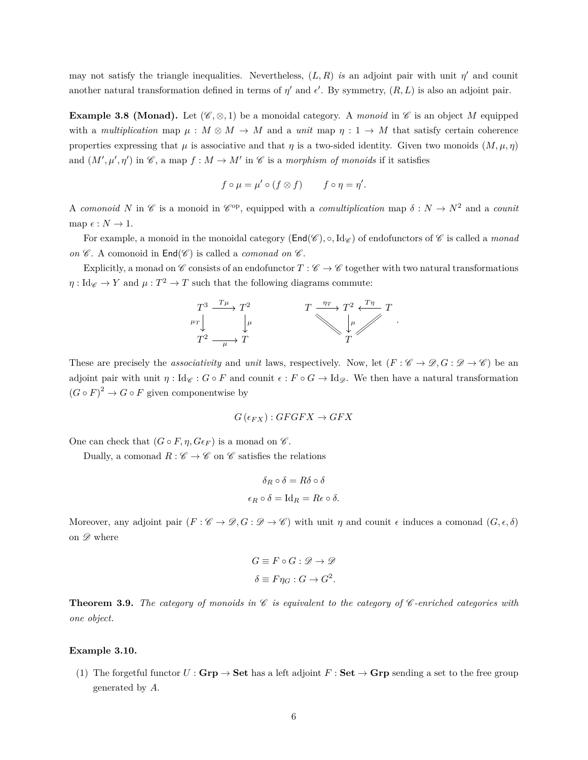may not satisfy the triangle inequalities. Nevertheless,  $(L, R)$  *is* an adjoint pair with unit  $\eta'$  and counit another natural transformation defined in terms of  $\eta'$  and  $\epsilon'$ . By symmetry,  $(R, L)$  is also an adjoint pair.

**Example 3.8 (Monad).** Let  $(\mathscr{C}, \otimes, 1)$  be a monoidal category. A *monoid* in  $\mathscr{C}$  is an object *M* equipped with a *multiplication* map  $\mu : M \otimes M \to M$  and a *unit* map  $\eta : 1 \to M$  that satisfy certain coherence properties expressing that  $\mu$  is associative and that  $\eta$  is a two-sided identity. Given two monoids  $(M, \mu, \eta)$ and  $(M', \mu', \eta')$  in  $\mathscr{C}$ , a map  $f : M \to M'$  in  $\mathscr{C}$  is a *morphism of monoids* if it satisfies

$$
f \circ \mu = \mu' \circ (f \otimes f) \qquad f \circ \eta = \eta'.
$$

A *comonoid* N in C is a monoid in C<sup>op</sup>, equipped with a *comultiplication* map  $\delta: N \to N^2$  and a *counit* map  $\epsilon : N \to 1$ .

For example, a monoid in the monoidal category ( $\text{End}(\mathscr{C}), \circ, \text{Id}_{\mathscr{C}}$ ) of endofunctors of  $\mathscr{C}$  is called a *monad on*  $\mathscr C$ . A comonoid in  $\text{End}(\mathscr C)$  is called a *comonad on*  $\mathscr C$ .

Explicitly, a monad on  $\mathscr C$  consists of an endofunctor  $T : \mathscr C \to \mathscr C$  together with two natural transformations  $\eta: \text{Id}_{\mathscr{C}} \to Y$  and  $\mu: T^2 \to T$  such that the following diagrams commute:



These are precisely the *associativity* and *unit* laws, respectively. Now, let  $(F \colon \mathscr{C} \to \mathscr{D}, G \colon \mathscr{D} \to \mathscr{C})$  be an adjoint pair with unit  $\eta$  :  $\text{Id}_{\mathscr{C}}$  :  $G \circ F$  and counit  $\epsilon : F \circ G \to \text{Id}_{\mathscr{D}}$ . We then have a natural transformation  $(G \circ F)^2 \to G \circ F$  given componentwise by

$$
G(\epsilon_{FX}): GFGFX \to GFX
$$

One can check that  $(G \circ F, \eta, G \epsilon_F)$  is a monad on  $\mathscr{C}$ .

Dually, a comonad  $R : \mathscr{C} \to \mathscr{C}$  on  $\mathscr{C}$  satisfies the relations

$$
\delta_R \circ \delta = R\delta \circ \delta
$$

$$
\epsilon_R \circ \delta = \text{Id}_R = R\epsilon \circ \delta.
$$

Moreover, any adjoint pair  $(F \colon \mathscr{C} \to \mathscr{D}, G \colon \mathscr{D} \to \mathscr{C})$  with unit  $\eta$  and counit  $\epsilon$  induces a comonad  $(G, \epsilon, \delta)$ on  $\mathscr{D}$  where

$$
G \equiv F \circ G : \mathcal{D} \to \mathcal{D}
$$

$$
\delta \equiv F \eta_G : G \to G^2.
$$

**Theorem 3.9.** *The category of monoids in*  $\mathscr C$  *is equivalent to the category of*  $\mathscr C$ *-enriched categories with one object.*

### <span id="page-5-0"></span>**Example 3.10.**

(1) The forgetful functor  $U : \mathbf{Grp} \to \mathbf{Set}$  has a left adjoint  $F : \mathbf{Set} \to \mathbf{Grp}$  sending a set to the free group generated by *A*.